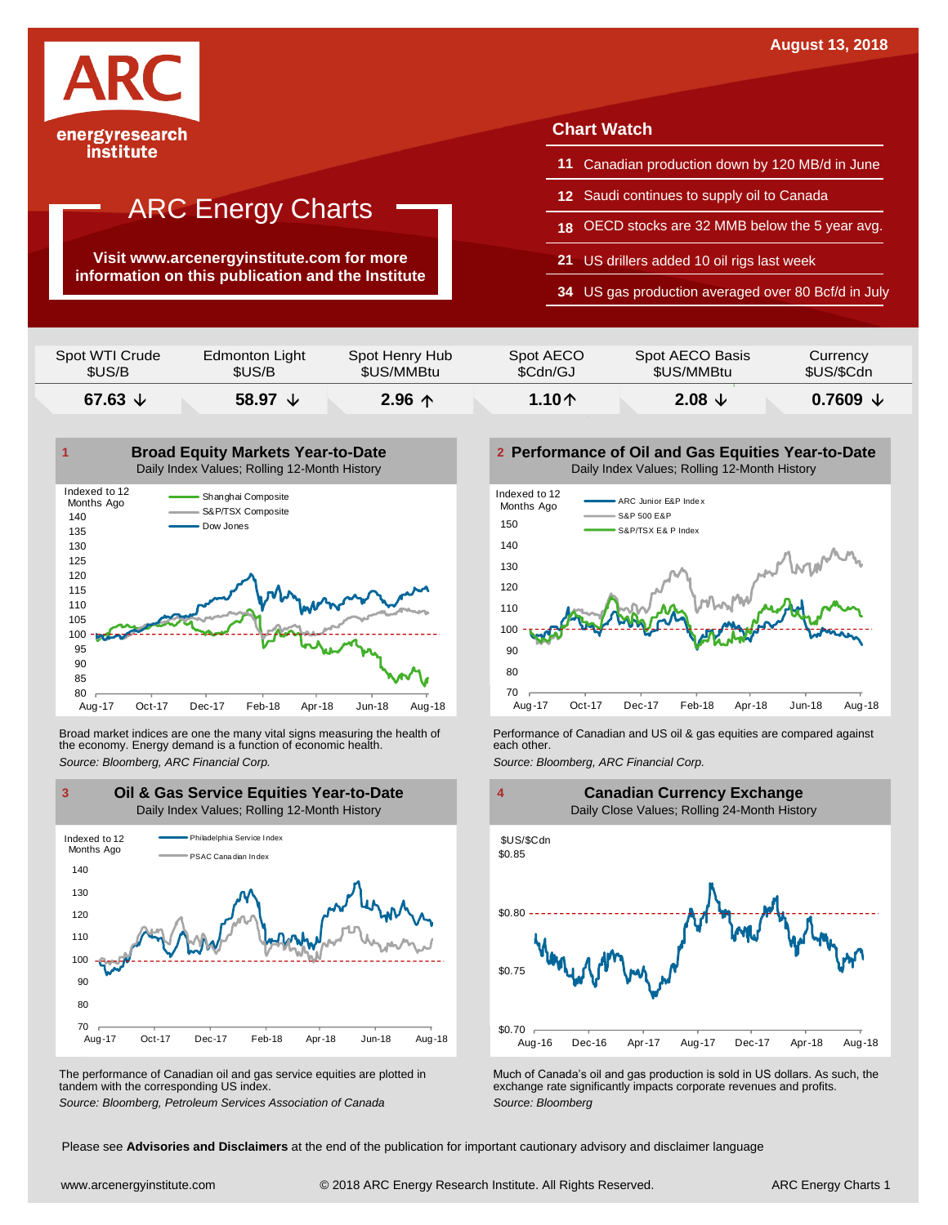

#### institute

### ARC Energy Charts

**Visit www.arcenergyinstitute.com for more information on this publication and the Institute**

#### **Chart Watch**

- **11** Canadian production down by 120 MB/d in June
- **12** Saudi continues to supply oil to Canada
- **18** OECD stocks are 32 MMB below the 5 year avg.
- **21** US drillers added 10 oil rigs last week
- **34** US gas production averaged over 80 Bcf/d in July

| \$US/B           | \$US/B           | \$US/MMBtu     | \$Cdn/GJ        | \$US/MMBtu        | \$US/\$Cdn        |
|------------------|------------------|----------------|-----------------|-------------------|-------------------|
| 67.63 $\sqrt{ }$ | 58.97 $\sqrt{ }$ | $2.96$ 个       | 1.10 $\uparrow$ | 2.08 $\downarrow$ | $0.7609 \t\t\vee$ |
| Spot WTI Crude   | Edmonton Light   | Spot Henry Hub | Spot AECO       | Spot AECO Basis   | <b>Currency</b>   |



Broad market indices are one the many vital signs measuring the health of **Performance of Canadian and US oil &** gas equities are compared against the economy. Energy demand is a function of economic health. **The exact oth** the economy. Energy demand is a function of economic health.



The performance of Canadian oil and gas service equities are plotted in tandem with the corresponding US index.

**Performance of Oil and Gas Equities Year-to-Date** Daily Index Values; Rolling 12-Month History





The performance of Canadian oil and gas service equities are plotted in Much of Canada's oil and gas production is sold in US dollars. As such, the exchange rate significantly impacts corporate revenues and profits.<br>Source

Please see **Advisories and Disclaimers** at the end of the publication for important cautionary advisory and disclaimer language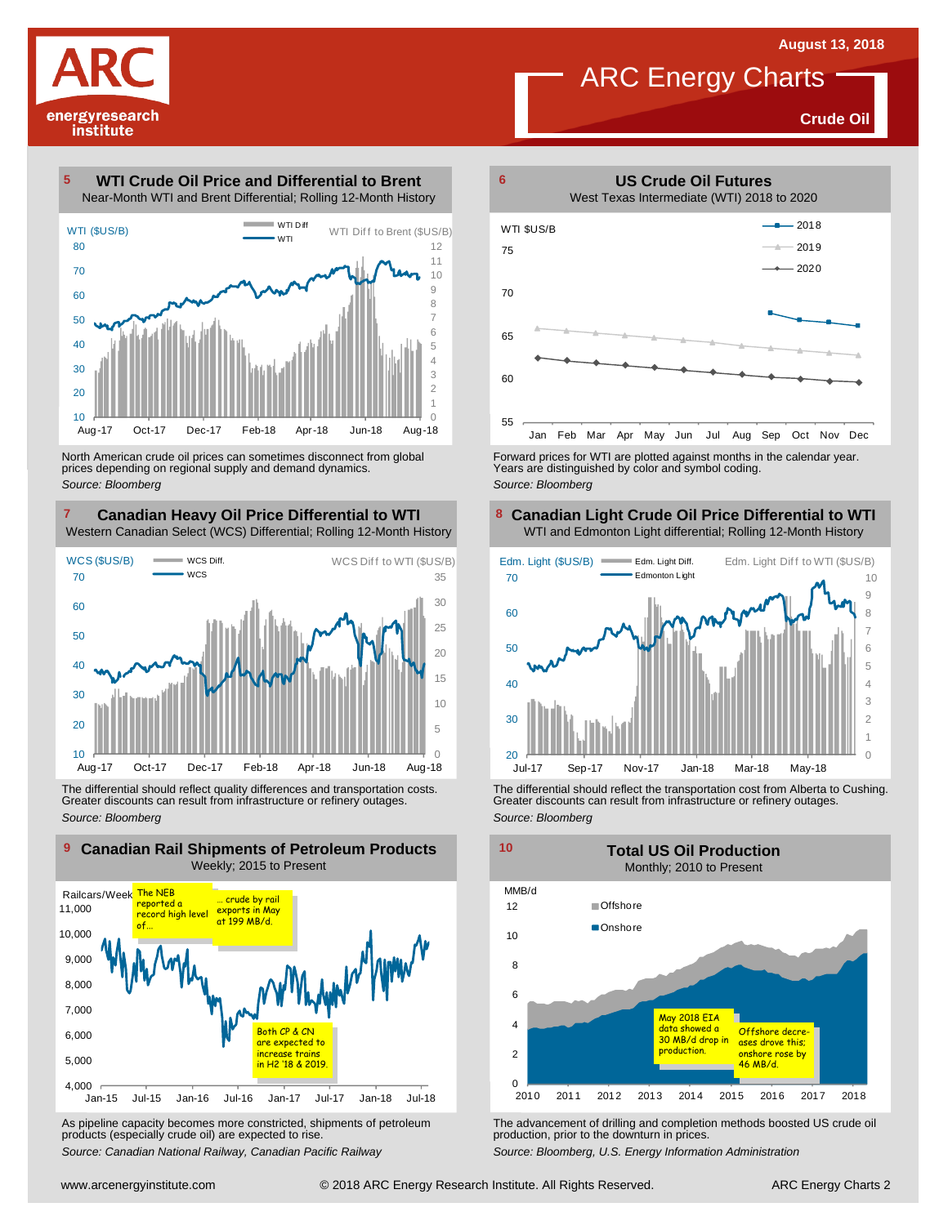**Crude Oil**

# energyresearch institute

#### **WTI Crude Oil Price and Differential to Brent** Near-Month WTI and Brent Differential; Rolling 12-Month History **5**



North American crude oil prices can sometimes disconnect from global prices depending on regional supply and demand dynamics. *Source: Bloomberg*

#### **Canadian Heavy Oil Price Differential to WTI 7 8** Western Canadian Select (WCS) Differential; Rolling 12-Month History



The differential should reflect quality differences and transportation costs. Greater discounts can result from infrastructure or refinery outages. *Source: Bloomberg*



As pipeline capacity becomes more constricted, shipments of petroleum products (especially crude oil) are expected to rise.

*Source: Canadian National Railway, Canadian Pacific Railway*



**6**

ARC Energy Charts



Forward prices for WTI are plotted against months in the calendar year. Years are distinguished by color and symbol coding. *Source: Bloomberg*

#### **Canadian Light Crude Oil Price Differential to WTI** WTI and Edmonton Light differential; Rolling 12-Month History



The differential should reflect the transportation cost from Alberta to Cushing. Greater discounts can result from infrastructure or refinery outages. *Source: Bloomberg*



The advancement of drilling and completion methods boosted US crude oil production, prior to the downturn in prices.

*Source: Bloomberg, U.S. Energy Information Administration*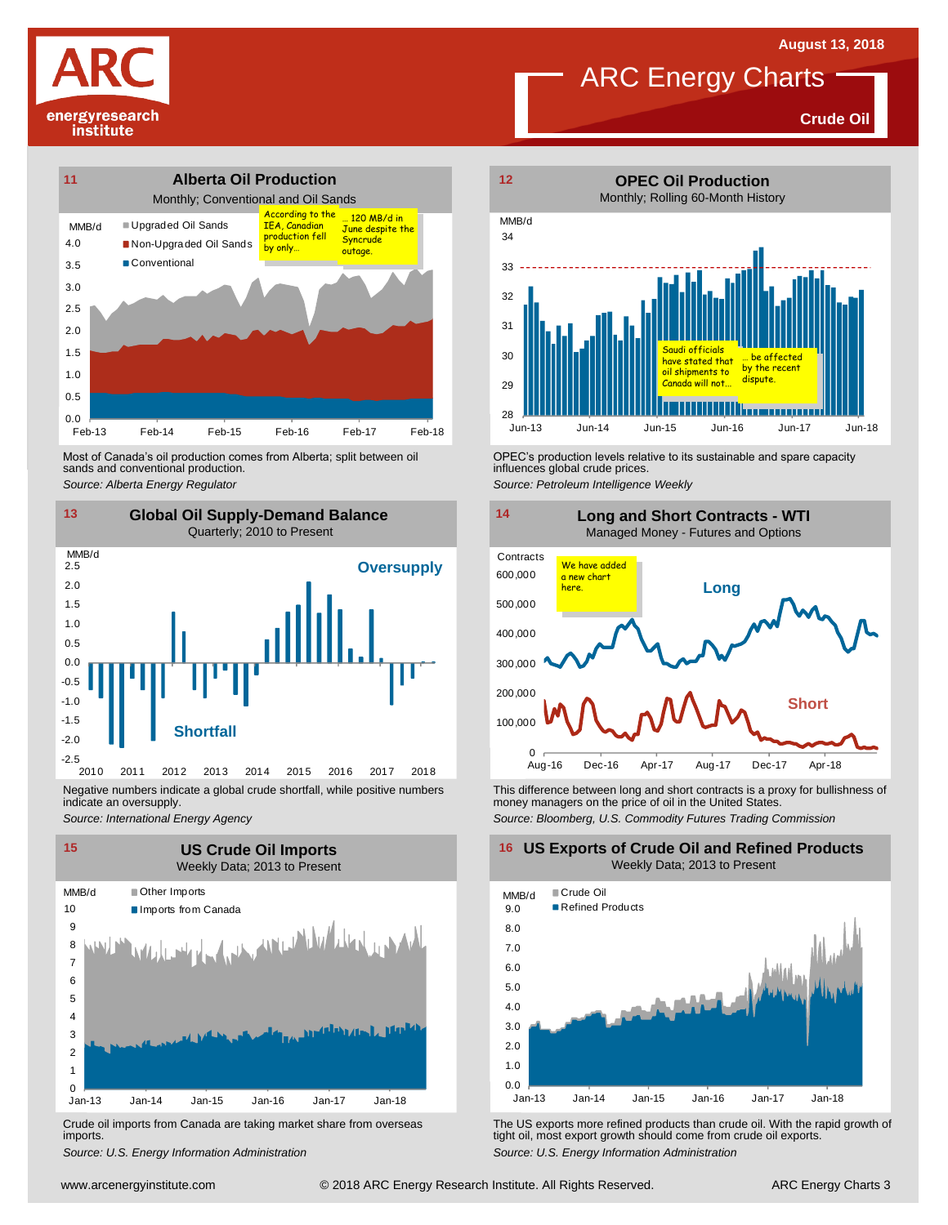**Crude Oil**



Most of Canada's oil production comes from Alberta; split between oil sands and conventional production. Most of Canada's oil production comes from Alberta; split between oil **Source:** OPEC's production levels relative to its sustainable and spare capacity<br>
Source: Alberta *Energy Regulator*<br>
Source: Petroleum Intelligence We



indicate an oversupply.

*Source: International Energy Agency*



Crude oil imports from Canada are taking market share from overseas imports.



influences global crude prices.

*Source: Petroleum Intelligence Weekly*



This difference between long and short contracts is a proxy for bullishness of money managers on the price of oil in the United States. *Source: Bloomberg, U.S. Commodity Futures Trading Commission*

**16 US Exports of Crude Oil and Refined Products** Weekly Data; 2013 to Present



Um-13 Jan-14 Jan-15 Jan-16 Jan-17 Jan-18<br>
Crude oil imports from Canada are taking market share from overseas<br>
Source: U.S. Energy Information Administration<br>
Source: U.S. Energy Information Administration<br>
With the rapid *S* Crude oil imports from Canada are taking market share from overseas The US exports more refined products than crude oil. With the rapid growth of imports.<br> **Source:** U.S. Energy Information *Curre: U.S. Energy Informat* tight oil, most export growth should come from crude oil exports. *Source: U.S. Energy Information Administration*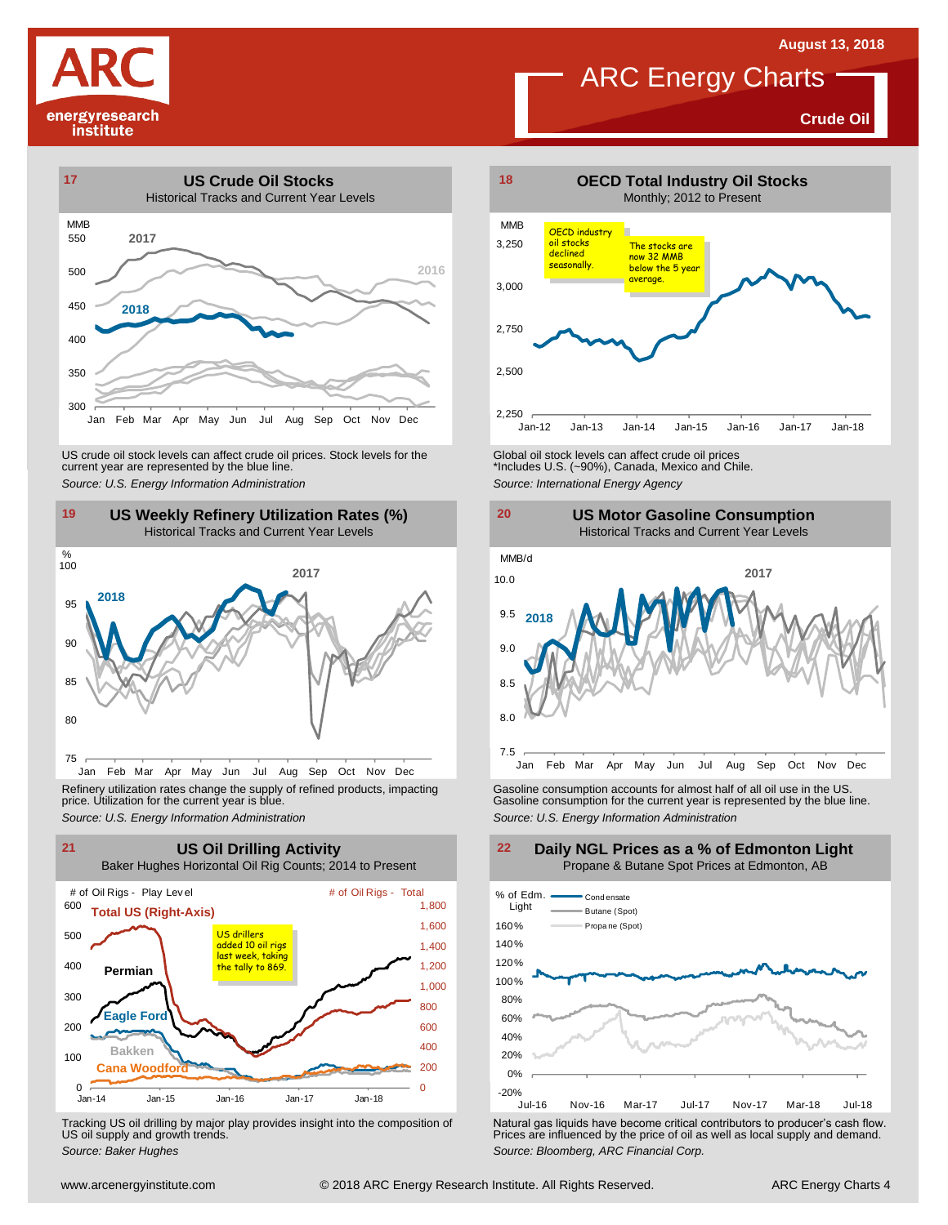

**Crude Oil**



US weekly Refinery Utilization Rates (%)<br>
The Historical Tracks and Current Year Levels for the Source: U.S. Energy Information Administration<br>
19 US Weekly Refinery Utilization Rates (%)<br>
Historical Tracks and Current Yea



Refinery utilization rates change the supply of refined products, impacting price. Utilization for the current year is blue.



Tracking US oil drilling by major play provides insight into the composition of US oil supply and growth trends.



#### **US Motor Gasoline Consumption** Historical Tracks and Current Year Levels



Refinery utilization rates change the supply of refined products, impacting<br>
price. Utilization for the current year is blue.<br>
Source: U.S. Energy Information Administration<br>
Source: U.S. Energy Information Administration<br>

**Daily NGL Prices as a % of Edmonton Light**



Tracking US oil drilling by major play provides insight into the composition of<br>US oil supply and growth trends.<br>Source: Baker Hughes<br>Source: Baker Hughes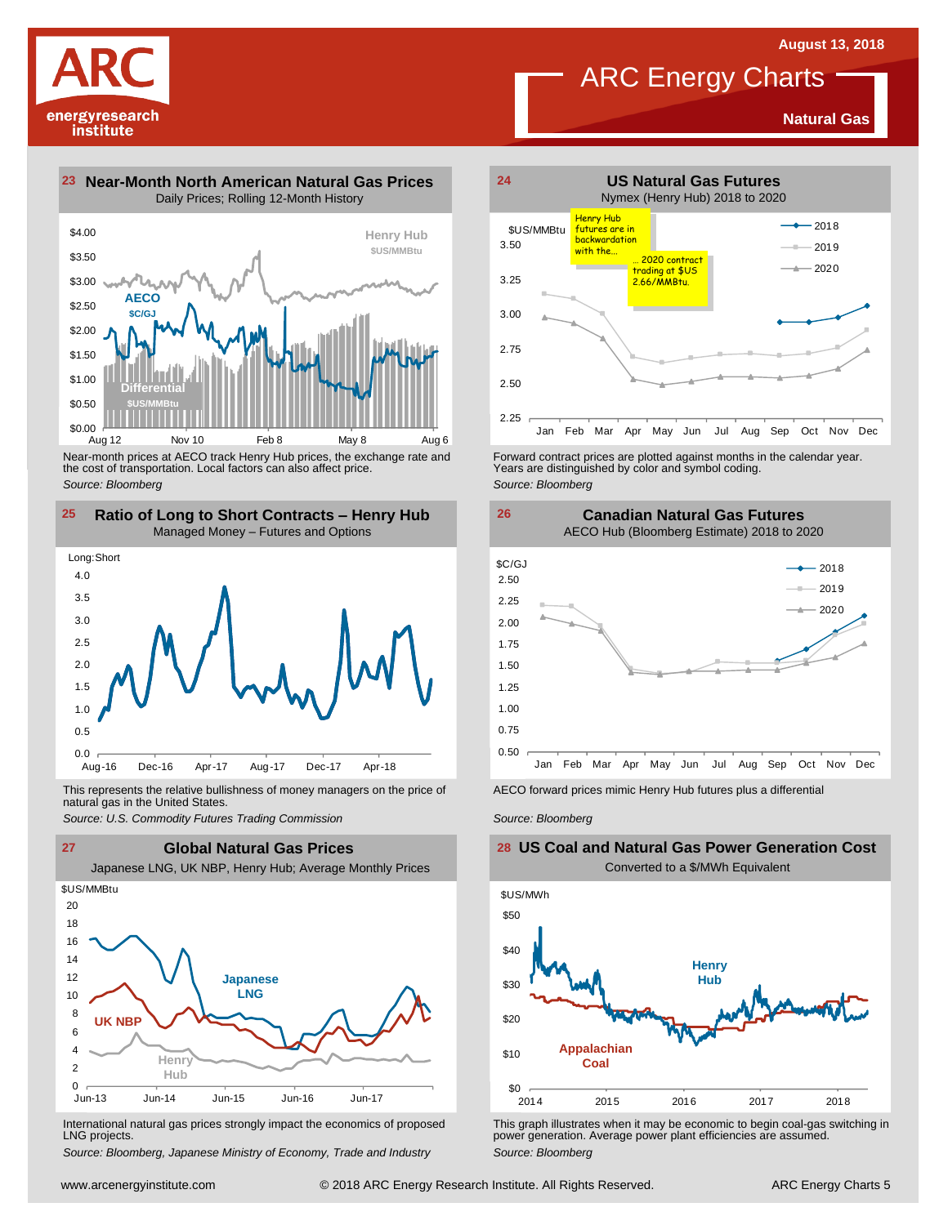**Natural Gas**



**23 Near-Month North American Natural Gas Prices 24** Daily Prices; Rolling 12-Month History



Near-month prices at AECO track Henry Hub prices, the exchange rate and the cost of transportation. Local factors can also affect price. *Source: Bloomberg*



This represents the relative bullishness of money managers on the price of Facco forward prices mimic Henry Hub futures plus a differential<br>natural gas in the United States.<br>Source: U.S. Commodity Futures Trading Commissio natural gas in the United States.



International natural gas prices strongly impact the economics of proposed LNG projects.

*Source: Bloomberg, Japanese Ministry of Economy, Trade and Industry*



ARC Energy Charts

Forward contract prices are plotted against months in the calendar year.<br>Years are distinguished by color and symbol coding. *Source: Bloomberg*

**Canadian Natural Gas Futures**



*Source: Bloomberg*

**26**

#### **US Coal and Natural Gas Power Generation Cost** Converted to a \$/MWh Equivalent



This graph illustrates when it may be economic to begin coal-gas switching in power generation. Average power plant efficiencies are assumed. *Source: Bloomberg*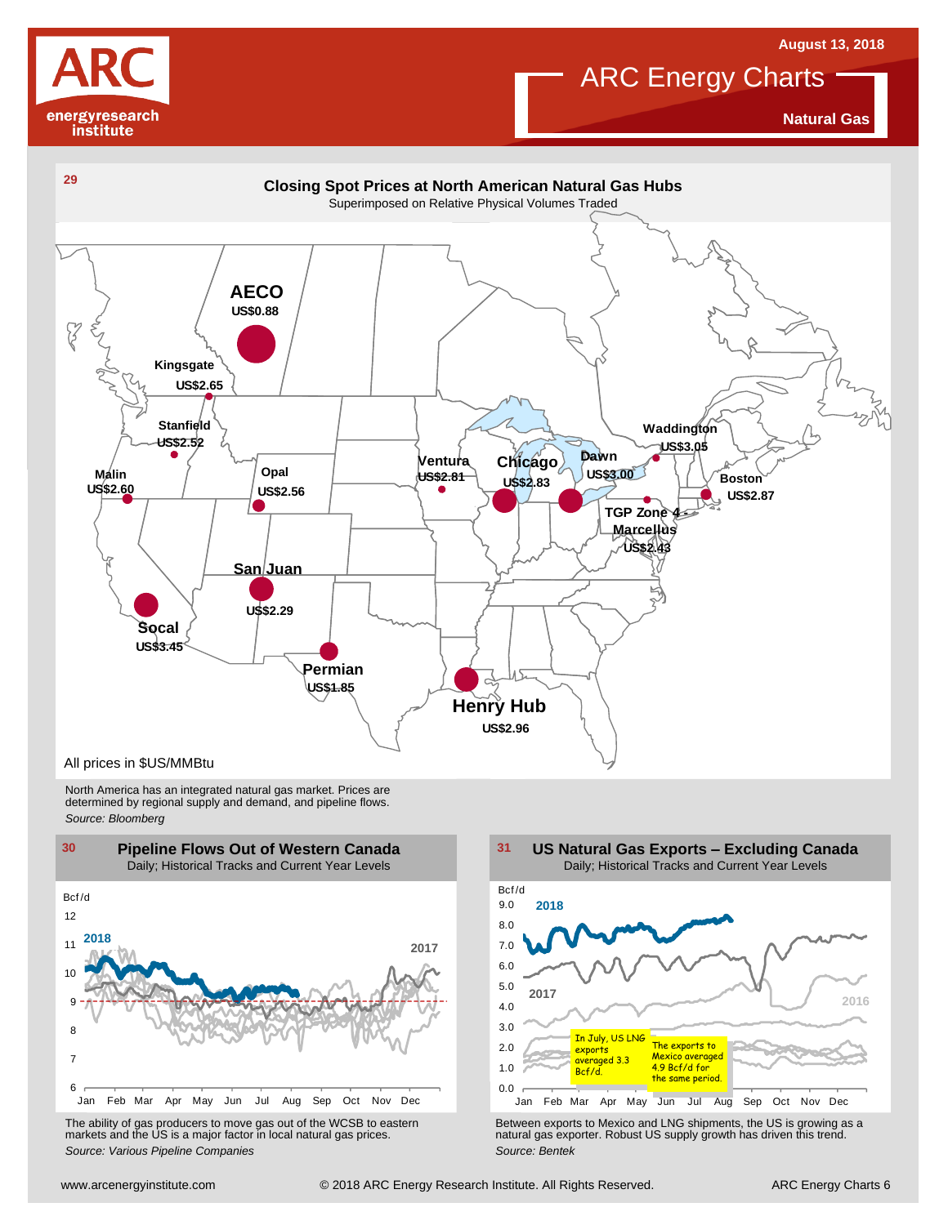



**Natural Gas**



North America has an integrated natural gas market. Prices are determined by regional supply and demand, and pipeline flows. *Source: Bloomberg*



The ability of gas producers to move gas out of the WCSB to eastern markets and the US is <sup>a</sup> major factor in local natural gas prices.



The ability of gas producers to move gas out of the WCSB to eastern<br>
markets and the US is a major factor in local natural gas prices.<br>
Source: Various Pipeline Companies<br>
Source: Bentek<br>
Source: Bentek<br>
Source: Bentek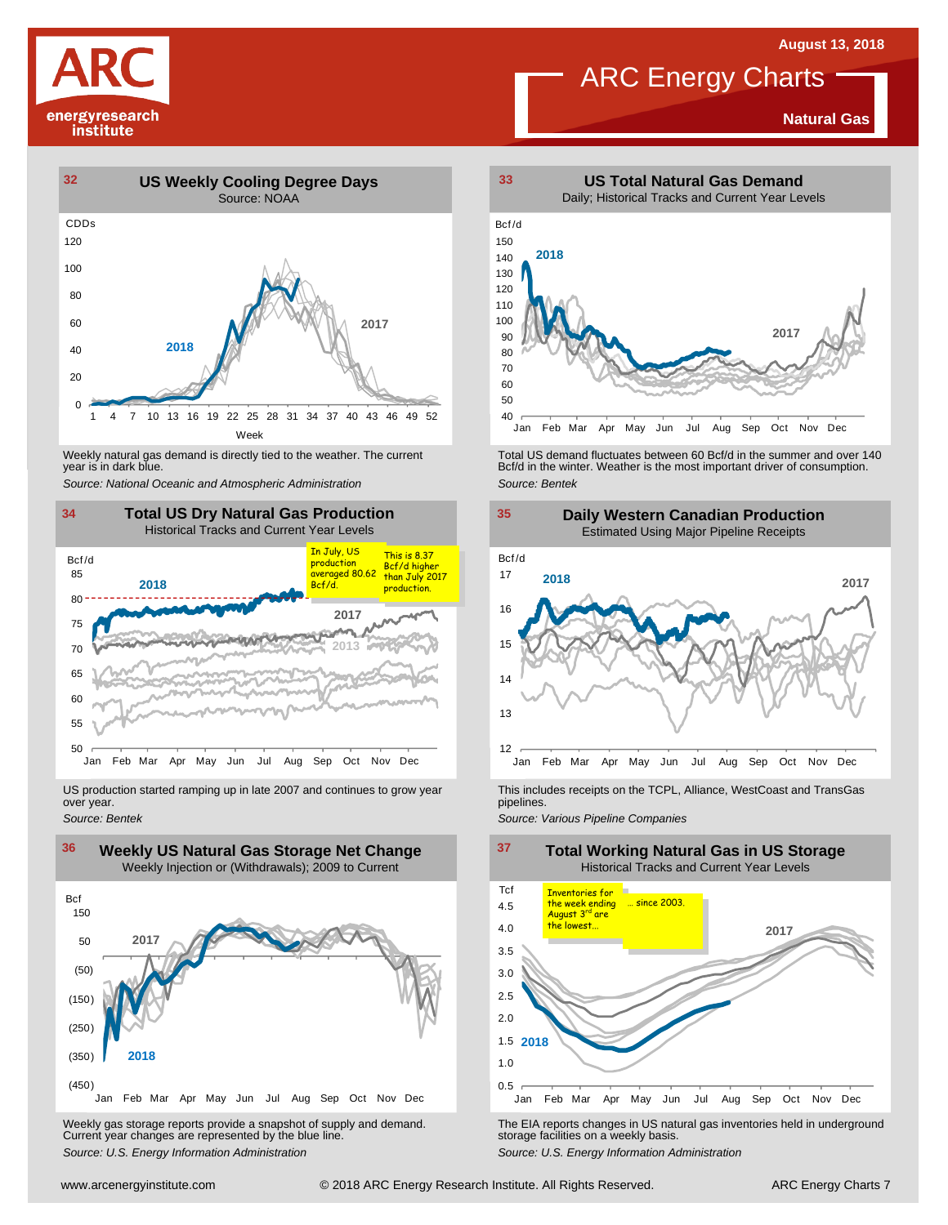

#### **Natural Gas**



Weekly natural gas demand is directly tied to the weather. The current<br>year is in dark blue.



US production started ramping up in late 2007 and continues to grow year over year. *Source: Bentek*



Weekly gas storage reports provide a snapshot of supply and demand. The EIA reports changes in US natural gas inventories held in underground<br>Current year changes are represented by the blue line. "Source: U.S. Energy Info



Weekly natural gas demand is directly tied to the weather. The current Fortal US demand fluctuates between 60 Bcf/d in the summer and over 140<br>140 Bcf/d in the winter. Weather is the most important driver of consumption.<br>1 *Source: Bentek*



This includes receipts on the TCPL, Alliance, WestCoast and TransGas pipelines.

*Source: Various Pipeline Companies*

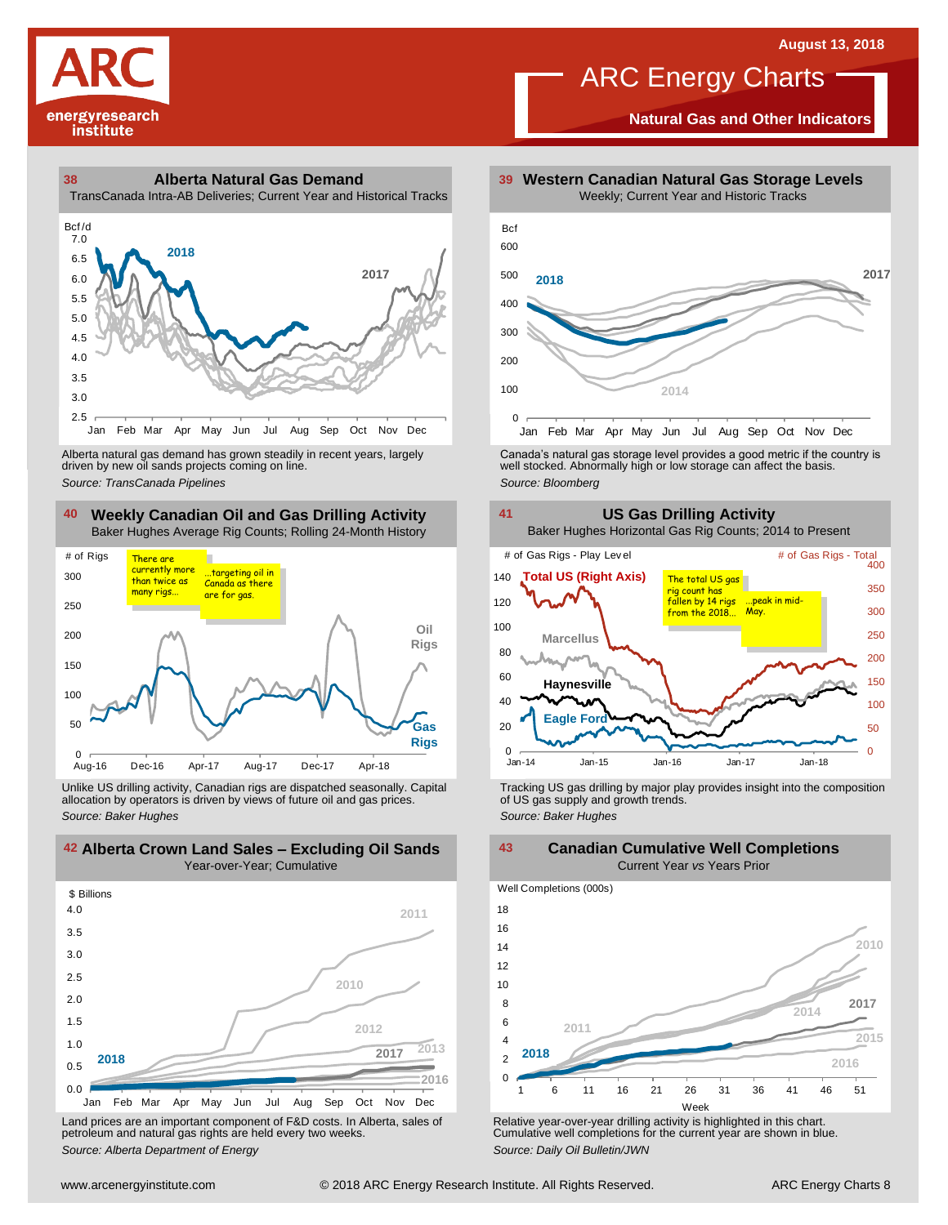

**Natural Gas and Other Indicators**





driven by new oil sands projects coming on line.

#### **40 41 Weekly Canadian Oil and Gas Drilling Activity** Baker Hughes Average Rig Counts; Rolling 24-Month History



Unlike US drilling activity, Canadian rigs are dispatched seasonally. Capital Tracking US gas drilling by major play provides insight into the composition<br>allocation by operators is driven by views of future oil and gas pr



Land prices are an important component of F&D costs. In Alberta, sales of petroleum and natural gas rights are held every two weeks. *Source: Alberta Department of Energy*



Alberta natural gas demand has grown steadily in recent years, largely and the Canada's natural gas storage level provides a good metric if the country is christen by new oil sands projects coming on line.<br>Ariven by new oi





Relative year-over-year drilling activity is highlighted in this chart. Cumulative well completions for the current year are shown in blue. *Source: Daily Oil Bulletin/JWN*